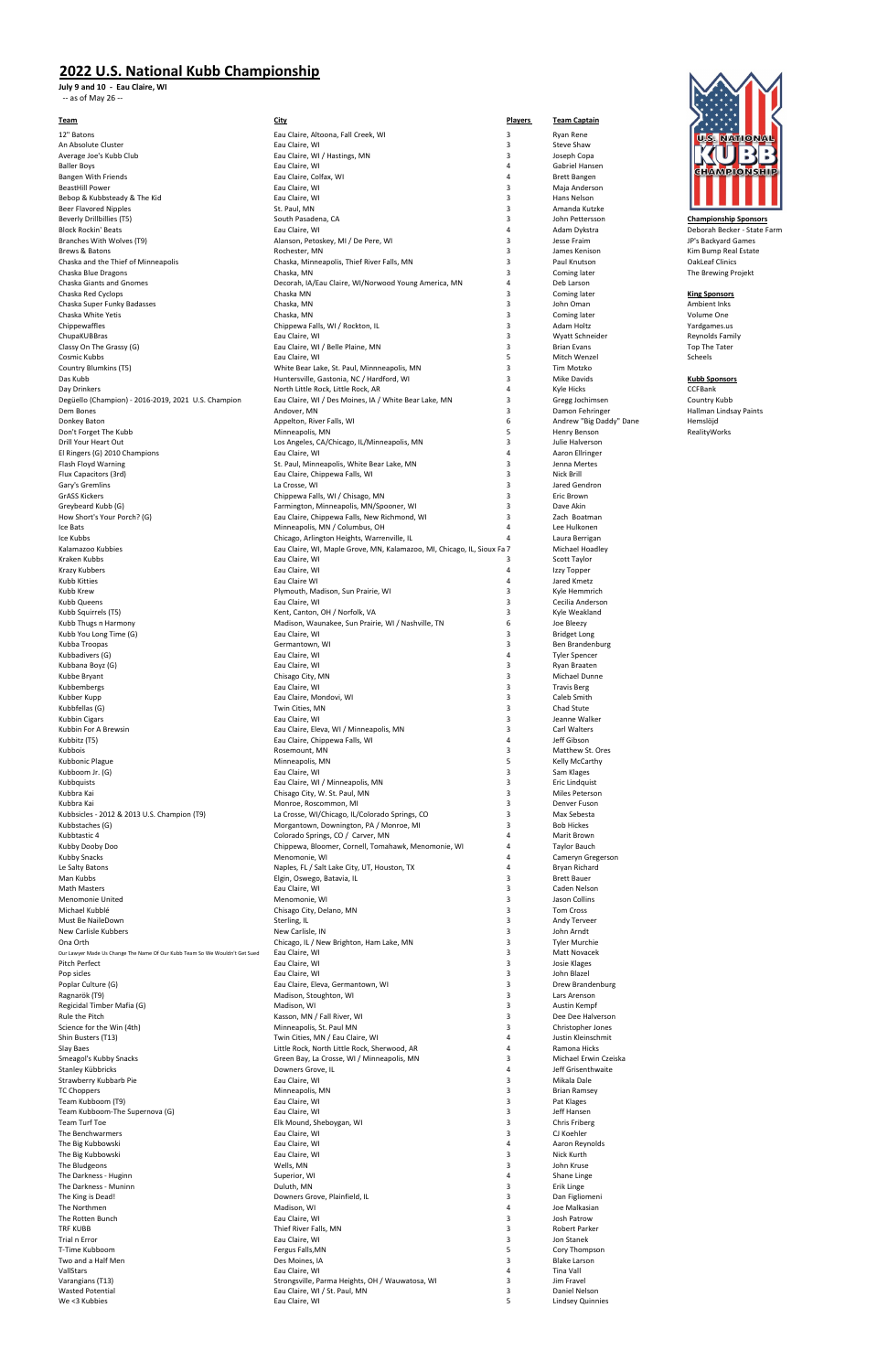## **2022 U.S. National Kubb Championship**

**July 9 and 10 - Eau Claire, WI** -- as of May 26 --

| <u>Team</u>                                                                 | <b>City</b>                                                                               | <b>Players</b> | <b>Team Captain</b>                     |                        |
|-----------------------------------------------------------------------------|-------------------------------------------------------------------------------------------|----------------|-----------------------------------------|------------------------|
| 12" Batons                                                                  | Eau Claire, Altoona, Fall Creek, WI                                                       | 3              | Ryan Rene                               | <b>U.S. NAT</b>        |
| An Absolute Cluster                                                         | Eau Claire, WI                                                                            | 3              | Steve Shaw                              |                        |
| Average Joe's Kubb Club                                                     | Eau Claire, WI / Hastings, MN                                                             | 3              | Joseph Copa                             |                        |
| <b>Baller Boys</b>                                                          | Eau Claire, WI                                                                            | 4              | Gabriel Hansen                          | <b>GHAMPIG</b>         |
| Bangen With Friends<br><b>BeastHill Power</b>                               | Eau Claire, Colfax, WI<br>Eau Claire, WI                                                  | 4<br>3         | <b>Brett Bangen</b>                     |                        |
| Bebop & Kubbsteady & The Kid                                                | Eau Claire, WI                                                                            | 3              | Maja Anderson<br>Hans Nelson            |                        |
| <b>Beer Flavored Nipples</b>                                                | St. Paul, MN                                                                              | 3              | Amanda Kutzke                           |                        |
| Beverly Drillbillies (T5)                                                   | South Pasadena, CA                                                                        | 3              | John Pettersson                         | <b>Championship S</b>  |
| <b>Block Rockin' Beats</b>                                                  | Eau Claire, WI                                                                            | 4              | Adam Dykstra                            | Deborah Becker         |
| Branches With Wolves (T9)                                                   | Alanson, Petoskey, MI / De Pere, WI                                                       | 3              | Jesse Fraim                             | JP's Backyard Ga       |
| Brews & Batons                                                              | Rochester, MN                                                                             | 3              | James Kenison                           | Kim Bump Real          |
| Chaska and the Thief of Minneapolis<br>Chaska Blue Dragons                  | Chaska, Minneapolis, Thief River Falls, MN                                                | 3<br>3         | Paul Knutson                            | <b>OakLeaf Clinics</b> |
| Chaska Giants and Gnomes                                                    | Chaska, MN<br>Decorah, IA/Eau Claire, WI/Norwood Young America, MN                        | 4              | Coming later<br>Deb Larson              | The Brewing Pro        |
| Chaska Red Cyclops                                                          | Chaska MN                                                                                 | 3              | Coming later                            | <b>King Sponsors</b>   |
| Chaska Super Funky Badasses                                                 | Chaska, MN                                                                                | 3              | John Oman                               | Ambient Inks           |
| Chaska White Yetis                                                          | Chaska, MN                                                                                | 3              | Coming later                            | Volume One             |
| Chippewaffles                                                               | Chippewa Falls, WI / Rockton, IL                                                          | 3              | Adam Holtz                              | Yardgames.us           |
| ChupaKUBBras                                                                | Eau Claire, WI                                                                            | 3              | Wyatt Schneider                         | <b>Reynolds Family</b> |
| Classy On The Grassy (G)                                                    | Eau Claire, WI / Belle Plaine, MN                                                         | 3              | <b>Brian Evans</b>                      | Top The Tater          |
| Cosmic Kubbs<br>Country Blumkins (T5)                                       | Eau Claire, WI<br>White Bear Lake, St. Paul, Minnneapolis, MN                             | 5<br>3         | Mitch Wenzel<br>Tim Motzko              | Scheels                |
| Das Kubb                                                                    | Huntersville, Gastonia, NC / Hardford, WI                                                 | 3              | Mike Davids                             | <b>Kubb Sponsors</b>   |
| Day Drinkers                                                                | North Little Rock, Little Rock, AR                                                        | 4              | Kyle Hicks                              | <b>CCFBank</b>         |
| Degüello (Champion) - 2016-2019, 2021 U.S. Champion                         | Eau Claire, WI / Des Moines, IA / White Bear Lake, MN                                     | 3              | Gregg Jochimsen                         | Country Kubb           |
| Dem Bones                                                                   | Andover, MN                                                                               | 3              | Damon Fehringer                         | Hallman Lindsay        |
| Donkey Baton                                                                | Appelton, River Falls, WI                                                                 | 6              | Andrew "Big Daddy" Dane                 | Hemslöjd               |
| Don't Forget The Kubb                                                       | Minneapolis, MN                                                                           | 5              | Henry Benson                            | RealityWorks           |
| Drill Your Heart Out                                                        | Los Angeles, CA/Chicago, IL/Minneapolis, MN<br>Eau Claire, WI                             | 3<br>4         | Julie Halverson<br>Aaron Ellringer      |                        |
| El Ringers (G) 2010 Champions<br>Flash Floyd Warning                        | St. Paul, Minneapolis, White Bear Lake, MN                                                | 3              | Jenna Mertes                            |                        |
| Flux Capacitors (3rd)                                                       | Eau Claire, Chippewa Falls, WI                                                            | 3              | Nick Brill                              |                        |
| Gary's Gremlins                                                             | La Crosse, WI                                                                             | 3              | Jared Gendron                           |                        |
| <b>GrASS Kickers</b>                                                        | Chippewa Falls, WI / Chisago, MN                                                          | 3              | Eric Brown                              |                        |
| Greybeard Kubb (G)                                                          | Farmington, Minneapolis, MN/Spooner, WI                                                   | 3              | Dave Akin                               |                        |
| How Short's Your Porch? (G)                                                 | Eau Claire, Chippewa Falls, New Richmond, WI                                              | 3              | Zach Boatman                            |                        |
| Ice Bats                                                                    | Minneapolis, MN / Columbus, OH                                                            | 4              | Lee Hulkonen                            |                        |
| Ice Kubbs                                                                   | Chicago, Arlington Heights, Warrenville, IL                                               | 4              | Laura Berrigan                          |                        |
| Kalamazoo Kubbies<br>Kraken Kubbs                                           | Eau Claire, WI, Maple Grove, MN, Kalamazoo, MI, Chicago, IL, Sioux Fa 7<br>Eau Claire, WI | 3              | Michael Hoadley<br>Scott Taylor         |                        |
| Krazy Kubbers                                                               | Eau Claire, WI                                                                            | 4              | Izzy Topper                             |                        |
| Kubb Kitties                                                                | Eau Claire WI                                                                             | 4              | Jared Kmetz                             |                        |
| Kubb Krew                                                                   | Plymouth, Madison, Sun Prairie, WI                                                        | 3              | Kyle Hemmrich                           |                        |
| Kubb Queens                                                                 | Eau Claire, WI                                                                            | 3              | Cecilia Anderson                        |                        |
| Kubb Squirrels (T5)                                                         | Kent, Canton, OH / Norfolk, VA                                                            | 3              | Kyle Weakland                           |                        |
| Kubb Thugs n Harmony                                                        | Madison, Waunakee, Sun Prairie, WI / Nashville, TN                                        | 6              | Joe Bleezy                              |                        |
| Kubb You Long Time (G)                                                      | Eau Claire, WI                                                                            | 3              | <b>Bridget Long</b>                     |                        |
| Kubba Troopas<br>Kubbadivers (G)                                            | Germantown, WI<br>Eau Claire, WI                                                          | 3<br>4         | Ben Brandenburg<br><b>Tyler Spencer</b> |                        |
| Kubbana Boyz (G)                                                            | Eau Claire, WI                                                                            | 3              | Ryan Braaten                            |                        |
| Kubbe Bryant                                                                | Chisago City, MN                                                                          | 3              | Michael Dunne                           |                        |
| Kubbembergs                                                                 | Eau Claire, WI                                                                            | 3              | <b>Travis Berg</b>                      |                        |
| Kubber Kupp                                                                 | Eau Claire, Mondovi, WI                                                                   | 3              | Caleb Smith                             |                        |
| Kubbfellas (G)                                                              | Twin Cities, MN                                                                           | 3              | Chad Stute                              |                        |
| <b>Kubbin Cigars</b>                                                        | Eau Claire, WI                                                                            | 3              | Jeanne Walker                           |                        |
| Kubbin For A Brewsin                                                        | Eau Claire, Eleva, WI / Minneapolis, MN<br>Eau Claire, Chippewa Falls, WI                 | 3<br>4         | Carl Walters<br>Jeff Gibson             |                        |
| Kubbitz (T5)<br>Kubbois                                                     | Rosemount, MN                                                                             | 3              | Matthew St. Ores                        |                        |
| Kubbonic Plague                                                             | Minneapolis, MN                                                                           | 5              | Kelly McCarthy                          |                        |
| Kubboom Jr. (G)                                                             | Eau Claire, WI                                                                            | 3              | Sam Klages                              |                        |
| Kubbquists                                                                  | Eau Claire, WI / Minneapolis, MN                                                          | 3              | Eric Lindquist                          |                        |
| Kubbra Kai                                                                  | Chisago City, W. St. Paul, MN                                                             | 3              | Miles Peterson                          |                        |
| Kubbra Kai                                                                  | Monroe, Roscommon, MI                                                                     | 3              | Denver Fuson                            |                        |
| Kubbsicles - 2012 & 2013 U.S. Champion (T9)<br>Kubbstaches (G)              | La Crosse, WI/Chicago, IL/Colorado Springs, CO<br>Morgantown, Downington, PA / Monroe, MI | 3<br>3         | Max Sebesta<br><b>Bob Hickes</b>        |                        |
| Kubbtastic 4                                                                | Colorado Springs, CO / Carver, MN                                                         | 4              | Marit Brown                             |                        |
| Kubby Dooby Doo                                                             | Chippewa, Bloomer, Cornell, Tomahawk, Menomonie, WI                                       | 4              | Taylor Bauch                            |                        |
| <b>Kubby Snacks</b>                                                         | Menomonie, WI                                                                             | 4              | Cameryn Gregerson                       |                        |
| Le Salty Batons                                                             | Naples, FL / Salt Lake City, UT, Houston, TX                                              | 4              | Bryan Richard                           |                        |
| Man Kubbs                                                                   | Elgin, Oswego, Batavia, IL                                                                | 3              | <b>Brett Bauer</b>                      |                        |
| <b>Math Masters</b>                                                         | Eau Claire, WI                                                                            | 3              | Caden Nelson                            |                        |
| Menomonie United<br>Michael Kubblé                                          | Menomonie, WI<br>Chisago City, Delano, MN                                                 | 3<br>3         | Jason Collins<br>Tom Cross              |                        |
| Must Be NaileDown                                                           | Sterling, IL                                                                              | 3              | Andy Terveer                            |                        |
| New Carlisle Kubbers                                                        | New Carlisle, IN                                                                          | 3              | John Arndt                              |                        |
| Ona Orth                                                                    | Chicago, IL / New Brighton, Ham Lake, MN                                                  | 3              | <b>Tyler Murchie</b>                    |                        |
| Our Lawyer Made Us Change The Name Of Our Kubb Team So We Wouldn't Get Sued | Eau Claire, WI                                                                            | 3              | <b>Matt Novacek</b>                     |                        |
| Pitch Perfect                                                               | Eau Claire, WI                                                                            | 3              | Josie Klages                            |                        |
| Pop sicles                                                                  | Eau Claire, WI                                                                            | 3<br>3         | John Blazel                             |                        |
| Poplar Culture (G)<br>Ragnarök (T9)                                         | Eau Claire, Eleva, Germantown, WI<br>Madison, Stoughton, WI                               | 3              | Drew Brandenburg<br>Lars Arenson        |                        |
| Regicidal Timber Mafia (G)                                                  | Madison, WI                                                                               | 3              | Austin Kempf                            |                        |
| Rule the Pitch                                                              | Kasson, MN / Fall River, WI                                                               | 3              | Dee Dee Halverson                       |                        |
| Science for the Win (4th)                                                   | Minneapolis, St. Paul MN                                                                  | 3              | Christopher Jones                       |                        |
| Shin Busters (T13)                                                          | Twin Cities, MN / Eau Claire, WI                                                          | 4              | Justin Kleinschmit                      |                        |
| Slay Baes                                                                   | Little Rock, North Little Rock, Sherwood, AR                                              | 4              | Ramona Hicks                            |                        |
| Smeagol's Kubby Snacks                                                      | Green Bay, La Crosse, WI / Minneapolis, MN                                                | 3              | Michael Erwin Czeiska                   |                        |
| Stanley Kübbricks                                                           | Downers Grove, IL                                                                         | 4<br>3         | Jeff Grisenthwaite<br>Mikala Dale       |                        |
| Strawberry Kubbarb Pie<br><b>TC Choppers</b>                                | Eau Claire, WI<br>Minneapolis, MN                                                         | 3              | <b>Brian Ramsey</b>                     |                        |
| Team Kubboom (T9)                                                           | Eau Claire, WI                                                                            | 3              | Pat Klages                              |                        |
| Team Kubboom-The Supernova (G)                                              | Eau Claire, WI                                                                            | 3              | Jeff Hansen                             |                        |
| Team Turf Toe                                                               | Elk Mound, Sheboygan, WI                                                                  | 3              | Chris Friberg                           |                        |
| The Benchwarmers                                                            | Eau Claire, WI                                                                            | 3              | CJ Koehler                              |                        |
| The Big Kubbowski                                                           | Eau Claire, WI                                                                            | 4              | Aaron Reynolds                          |                        |
| The Big Kubbowski                                                           | Eau Claire, WI                                                                            | 3              | Nick Kurth                              |                        |
| The Bludgeons<br>The Darkness - Huginn                                      | Wells, MN<br>Superior, WI                                                                 | 3<br>4         | John Kruse<br>Shane Linge               |                        |
| The Darkness - Muninn                                                       | Duluth, MN                                                                                | 3              | Erik Linge                              |                        |
| The King is Dead!                                                           | Downers Grove, Plainfield, IL                                                             | 3              | Dan Figliomeni                          |                        |
| The Northmen                                                                | Madison, WI                                                                               | 4              | Joe Malkasian                           |                        |
| The Rotten Bunch                                                            | Eau Claire, WI                                                                            | 3              | Josh Patrow                             |                        |
| <b>TRF KUBB</b>                                                             | Thief River Falls, MN                                                                     | 3              | Robert Parker                           |                        |
| Trial n Error                                                               | Eau Claire, WI                                                                            | 3              | Jon Stanek                              |                        |
| T-Time Kubboom<br>Two and a Half Men                                        | Fergus Falls, MN<br>Des Moines, IA                                                        | 5<br>3         | Cory Thompson<br><b>Blake Larson</b>    |                        |
| VallStars                                                                   | Eau Claire, WI                                                                            | 4              | Tina Vall                               |                        |
| Varangians (T13)                                                            | Strongsville, Parma Heights, OH / Wauwatosa, WI                                           | 3              | Jim Fravel                              |                        |
| <b>Wasted Potential</b>                                                     | Eau Claire, WI / St. Paul, MN                                                             | 3              | Daniel Nelson                           |                        |
| We <3 Kubbies                                                               | Eau Claire, WI                                                                            | 5              | Lindsey Quinnies                        |                        |



**Championship Sponsors** Beborah Becker - State Farm JP's Backyard Games Kim Bump Real Estate<br>OakLeaf Clinics The Brewing Projekt

Hallman Lindsay Paints<br>Hemslöjd